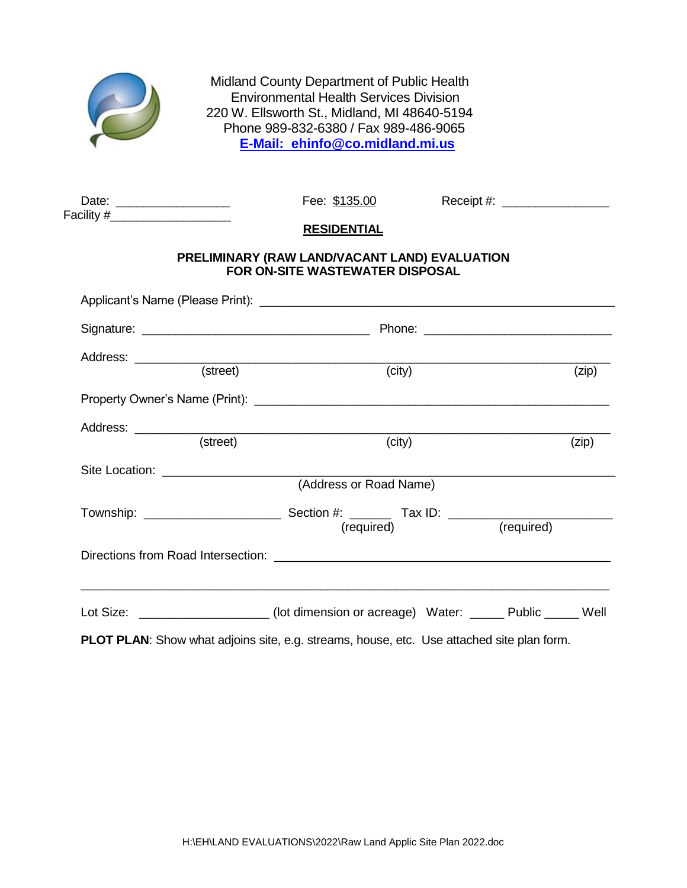

Midland County Department of Public Health Environmental Health Services Division 220 W. Ellsworth St., Midland, MI 48640-5194 Phone 989-832-6380 / Fax 989-486-9065 **E-Mail: ehinfo@co.midland.mi.us**

| Date:      |  |
|------------|--|
| Facility # |  |

Date: \_\_\_\_\_\_\_\_\_\_\_\_\_\_\_\_\_ Fee: \$135.00 Receipt #: \_\_\_\_\_\_\_\_\_\_\_\_\_\_\_\_

## **RESIDENTIAL**

## **PRELIMINARY (RAW LAND/VACANT LAND) EVALUATION FOR ON-SITE WASTEWATER DISPOSAL**

|            | (zip)                                                                                      |
|------------|--------------------------------------------------------------------------------------------|
|            |                                                                                            |
|            |                                                                                            |
|            |                                                                                            |
|            |                                                                                            |
|            | (zip)                                                                                      |
|            |                                                                                            |
|            |                                                                                            |
|            |                                                                                            |
| (required) |                                                                                            |
|            |                                                                                            |
|            |                                                                                            |
|            |                                                                                            |
| (required) | Lot Size: ______________________(lot dimension or acreage) Water: ______ Public _____ Well |